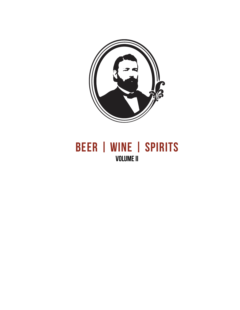

# **BEER | WINE | SPIRITS VOLUME II**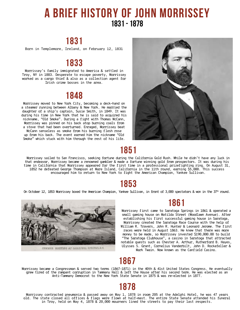# **A brief history of John Morrissey 1831 - 1878**

## **1831**

Born in Templemore, Ireland, on February 12, 1831

### **1833**

Morrissey's family immigrated to America & settled in Troy, NY in 1883. Desperate to escape poverty, Morrissey worked as a cargo thief & also as a collection agent for Irish crime bosses in the area.

### **1848**

nickname, "Old Smoke". During a fight with Thomas McCann, Morrissey was pinned on his back atop burning coals from a stove that had been overturned. Enraged, Morrissey beat McCann senseless as smoke from his burning flesh rose up from his back. The event earned him the nickname "Old Smoke" which stuck with him through the rest of his life. Morrissey moved to New York City, becoming a deck-hand on a steamer running between Albany & New York. He married the daughter of a ship's captain, Susie Smith, in 1849. It was during his time in New York that he is said to acquired his



### **1851**

Morrissey sailed to San Francisco, seeking fortune during the California Gold Rush. While he didn't have any luck in that endeavor, Morrissey became a renowned gambler & made a fortune winning gold from prospectors. It was during his time in California that Morrissey appeared for the first time in a professional prizefighting ring. On August 31, 1852 he defeated George Thompson at Mare Island, California in the 11th round, earning \$5,000. This success encouraged him to return to New York to fight the American Champion, Yankee Sullivan.

# **1853**

On October 12, 1853 Morrissey boxed the American Champion, Yankee Sullivan, in front of 3,000 spectators & won in the  $37<sup>th</sup>$  round.



### **1861**

Morrissey first came to Saratoga Springs in 1861 & operated a small gaming house on Matilda Street (Woodlawn Avenue). After establishing his first successful gaming house in Saratoga, Morrissey created the Saratoga Race Course with the help of William R. Travers, John R. Hunter & Leonard Jerome. The first races were held in August 1863. He knew that there was more money to be made, so Morrissey invested \$190,000.00 to build "The Saratoga Clubhouse", a casino in Saratoga that attracted notable guests such as Chester A. Arthur, Rutherford B. Hayes, Ulysses S. Grant, Cornelius Vanderbilt, John D. Rockefeller & Mark Twain. Now known as the Canfield Casino.

# **1867**

Morrissey became a Congressman & served two terms (1867–1871) in the 40th & 41st United States Congress. He eventually grew tired of the rampant corruption in Tammany Hall & left the House after his second term. He was elected as an Anti-Tammany Democrat to the New York State Senate in 1875 & was re-elected in 1877.

# **1878**

Morrissey contracted pneumonia & passed away on May 1, 1878 in room 205 at the Adelphi Hotel, he was 47 years old. The state closed all offices & flags were flown at half-mast. The entire State Senate attended his funeral in Troy, held on May 4, 1878 & 20,000 mourners lined the streets to pay their last respects.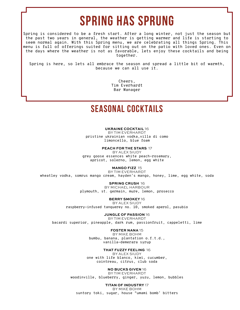# **Spring Has Sprung**

Spring is considered to be a fresh start. After a long winter, not just the season but the past two years in general, the weather is getting warmer and life is starting to seem normal again. With this Spring menu, we are celebrating all things Spring. This menu is full of offerings suited for sitting out on the patio with loved ones. Even on the days where the weather is not as favorable, lets enjoy these cocktails and being together.

Spring is here, so lets all embrace the season and spread a little bit of warmth, because we can all use it.

> Cheers, Tim Everhardt Bar Manager

## **Seasonal Cocktails**

#### **UKRAINE COCKTAIL** 16

BY TIM EVERHARDT pristine ukrainian vodka,villa di como limoncello, blue foam

**PEACH FOR THE STARS** 17

BY ALEX SIUDY grey goose essences white peach-rosemary, apricot, solerno, lemon, egg white

**MANGO FIZZ** 15

BY TIM EVERHARDT wheatley vodka, somrus mango cream, hayden's mango, honey, lime, egg white, soda

**SPRING CRUSH** 16

BY MICHAEL HARBOUR plymouth, st. germain, mure, lemon, prosecco

**BERRY SMOKEY** 16

BY ALEX SIUDY raspberry-infused tanquerey no. 10, smoked aperol, pasubio

**JUNGLE OF PASSION** 16

BY TIM EVERHARDT bacardi superior, pineapple, dark rum, passionfruit, cappeletti, lime

**FOSTER NANA** 15

BY MIKE BOHM bumbu, banana, plantation o.f.t.d., vanilla-demerara syrup

**THAT FUZZY FEELING** 16

BY ALEX SIUDY one with life blanco, kiwi, cucumber, cointreau, citrus, club soda

**NO BUCKS GIVEN** 16

BY TIM EVERHARDT woodinville, blueberry, ginger, yuzu, lemon, bubbles

**TITAN OF INDUSTRY** 17 BY MIKE BOHM suntory toki, sugar, house "umami bomb' bitters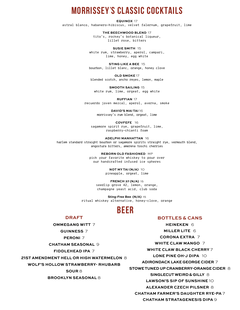# **Morrissey**'**s Classic Cocktails**

**EQUINOX** 17

astral blanco, habanero-hibiscus, velvet falernum, grapefruit, lime

**THE BEECHWOOD BLEND** 17 tito's, rockey's botanical liqueur, lillet rose, bitters

**SUSIE SMITH** 15 white rum, strawberry, aperol, campari, lime, honey, egg white

**STING LIKE A BEE** 15 bourbon, lillet blanc, orange, honey clove

**OLD SMOKE** 17 blended scotch, ancho reyes, lemon, maple

**SMOOTH SAILING** 15 white rum, lime, orgeat, egg white

**RUFFIAN** 17 recuerdo joven mezcal, aperol, averna, smoke

> **DAVID'S MAI TAI** 16 morrissey's rum blend, orgeat, lime

**COVFEFE** 16 sagamore spirit rye, grapefruit, lime, raspberry-chianti foam

**ADELPHI MANHATTAN** 16 harlem standard straight bourbon or sagamore spirits straight rye, vermouth blend, angostura bitters, amerena toschi cherries

> **REBORN OLD FASHIONED** MP pick your favorite whiskey to pour over our handcrafted infused ice spheres

> > **NOT MY TAI (N/A)** 10 pineapple, orgeat, lime

**FRENCH 37 (N/A)** 15 seedlip grove 42, lemon, orange, champagne yeast acid, club soda

**Sting-Free Bee (N/A)** 15 ritual whiskey alternative, honey-clove, orange

# **Beer**

#### **DRAFT**

**OMMEGANG WITT** 7 **GUINNESS** 7 **PERONI** 7 **CHATHAM SEASONAL** 9 **FIDDLEHEAD IPA** 7 **21ST AMENDMENT HELL OR HIGH WATERMELON** 8 **WOLF'S HOLLOW STRAWBERRY- RHUBARB SOUR** 8 **BROOKLYN SEASONAL** 8

#### **BOTTLES & CANS**

**HEINEKEN** 6 **MILLER LITE** 6 **CORONA EXTRA** 7 **WHITE CLAW MANGO** 7 **WHITE CLAW BLACK CHERRY** 7 **LONE PINE OH-J DIPA** 10 **ADIRONDACK LAKE GEORGE CIDER** 7 **STOWE TUNED UP CRANBERRY-ORANGE CIDER** 8 **SINGLECUT WEIRD & GILLY** 8 **LAWSON'S SIP OF SUNSHINE** 10 **ALEXANDER CZECH PILSNER** 8 **CHATHAM FARMER'S DAUGHTER RYE-PA** 7

**CHATHAM STRATAGENESIS DIPA** 9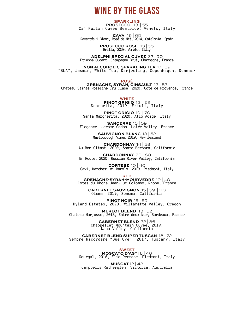# **Wine By The Glass**

**SPARKLING PROSECCO** 13 | 55 Ca' Furlan Cuvee Beatrice, Veneto, Italy

**CAVA** 16 | 60 Raventós i Blanc, Rosé de Nit, 2014, Catalonia, Spain

> **PROSECCO ROSE** 13 | 55 Brilla, 2020, Veneto, Italy

**ADELPHI SPECIAL CUVEE** 22 | 90 Etienne Oudart, Champagne Brut, Champagne, France

**NON ALCOHOLIC SPARKLING TEA** 17 | 59 "BLA", Jasmin, White Tea, Darjeeling, Copenhagen, Denmark

**ROSÉ**

**GRENACHE, SYRAH, CINSAULT** 13 | 52 Chateau Sainte Roseline Cru Clase, 2020, Cote de Provence, France

**WHITE**

**PINOT GRIGIO** 13 | 52 Scarpetta, 2019, Friuli, Italy

**PINOT GRIGIO** 19 | 70 Santa Margherita, 2020, Atlo Adige, Italy

**SANCERRE** 15 | 59 Elegance, Jerome Godon, Loire Valley, France

> **SAUVIGNON BLANC** 13 | 52 Marlborough Vines 2019, New Zealand

**CHARDONNAY** 14 | 58 Au Bon Climat, 2020, Santa Barbara, California

**CHARDONNAY** 20 | 80 En Route, 2020, Russian River Valley, California

**CORTESE** 10 | 40 Gavi, Marchesi di Barolo, 2019, Piedmont, Italy

**RED**

**GRENACHE-SYRAH-MOURVEDRE** 10 | 40 Cotes du Rhone Jean-Luc Colombo, Rhone, France

**CABERNET SAUVIGNON** 15 | 59 | 110 Olema, 2019, Sonoma, California

**PINOT NOIR** 15 | 59 Hyland Estates, 2020, Willamette Valley, Oregon

**MERLOT BLEND** 13 | 52 Chateau Marjosse, 2018, Entre deux Mer, Bordeaux, France

> **CABERNET BLEND** 22 | 86 Chappellet Mountain Cuvee, 2019, Napa Valley, California

**CABERNET BLEND SUPER TUSCAN** 18 | 72 Sempre Ricordare "Due Uve", 2017, Tuscany, Italy

**SWEET MOSCATO D'ASTI** 8 | 48 Sourgal, 2016, Elio Perrone, Piedmont, Italy

**MUSCAT** 12 | 43 Campbells Rutherglen, Victoria, Australia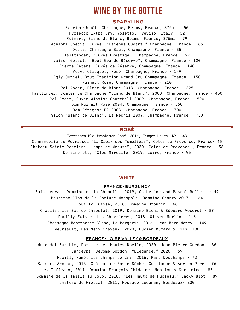# **Wine By The bottle**

#### **SPARKLING**

Perrier-Jouët, Champagne, Reims, France, 375ml · 56 Prosecco Extra Dry, Moletto, Treviso, Italy · 52 Ruinart, Blanc de Blanc, Reims, France, 375ml · 79 Adelphi Special Cuvée, "Etienne Oudart," Champagne, France · 85 Deutz, Champagne Brut, Champagne, France · 85 Taittinger, "Cuvée Prestige", Champagne, France · 92 Maison Gosset, "Brut Grande Réserve", Champagne, France · 120 Pierre Peters, Cuvée de Réserve, Champagne, France · 140 Veuve Clicquot, Rosé, Champagne, France · 149 Egly Ouriet, Brut Tradition Grand Cru,Champagne, France · 150 Ruinart Rosé, Champagne, France · 210 Pol Roger, Blanc de Blanc 2013, Champagne, France · 225 Taittinger, Comtes de Champagne "Blanc de Blanc", 2008, Champagne, France · 450 Pol Roger, Cuvée Winston Churchill 2009, Champagne, France · 520 Dom Ruinart Rosé 2004, Champagne, France · 550 Dom Pérignon P2 2003, Champagne, France · 700 Salon "Blanc de Blanc", Le Mesnil 2007, Champagne, France · 750

#### **ROSÉ**

Terrassen Blaufrankisch Rosé, 2016, Finger Lakes, NY  $\cdot$  43 Commanderie de Peyrassol "La Croix des Templiers", Cotes de Provence, France· 45 Chateau Sainte Roseline "Lampe de Meduse", 2020, Cotes de Provence , France · 56 Domaine Ott, "Clos Mireille" 2019, Loire, France · 95

#### **WHITE**

#### FRANCE **•** BURGUNDY

Saint Veran, Domaine de la Chapelle, 2019, Catherine and Pascal Rollet  $\cdot$  49 Bouzeron Clos de la Fortune Monopole, Domaine Chanzy 2017, · 64 Pouilly Fuissé, 2018, Domaine Drouhin  $\cdot$  68 Chablis, Les Bas de Chapelot, 2019, Domaine Eleni & Edouard Vocoret · 87 Pouilly Fuissé, Les Chevrières, 2018, Oliver Merlin · 116 Chassagne Montrachet Blanc, La Bergerie, 2016, Jean-Marc Morey · 149 Meursault, Les Meix Chavaux, 2020, Lucien Muzard & Fils· 190

#### FRANCE **•** LOIRE VALLEY & BORDEAUX

Muscadet Sur Lie, Domaine Les Hautes Noelle, 2020, Jean Pierre Guedon · 36 Sancerre, Jerome Gordon, "Elegance," 2020 · 59 Pouilly Fumé, Les Champs de Cri, 2016, Marc Deschamps · 73 Saumur, Arcane, 2013, Château de Fosse-Sèche, Guillaume & Adrien Pire · 76 Les Tuffeaux, 2017, Domaine François Chidaine, Montlouis Sur Loire · 85 Domaine de la Taille au Loup, 2018, "Les Hauts de Husseau," Jacky Blot · 89 Château de Fieuzal, 2011, Pessace Leognan, Bordeaux· 230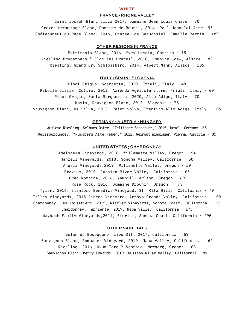#### **WHITE**

#### FRANCE **•** RHONE VALLEY

Saint Joseph Blanc Circa 2017, Domaine Jean Louis Chave  $\cdot$  70 Crozes Hermitage Blanc, Domaine de Roure , 2014, Paul Jaboulet Ainé· 95 Châteauneuf-du-Pape Blanc, 2016, Château de Beaucastel, Famille Perrin · 189

#### OTHER REGIONS IN FRANCE

Patrimonio Blanc, 2016, Yves Leccia, Corsica  $\cdot$  75 Riesling Bruderbach " Clos des Freres", 2018, Domaine Loew, Alsace · 82 Riesling, Grand Cru Schlossberg, 2014, Albert Mann, Alsace · 105

#### ITALY **•** SPAIN **•** SLOVENIA

Pinot Grigio, Scarpetta, 2020, Friuli, Italy · 48 Ribolla Gialla, Collio, 2012, Azienda Agricola Sturm, Friuli, Italy · 60 Pinot Grigio, Santa Margherita, 2020, Alto Adige, Italy  $\cdot$  70 Movia, Sauvignon Blanc, 2013, Slovenia · 75 Sauvignon Blanc, De Silva, 2013, Peter Sölva, Trentino-Alto Adige, Italy · 105

#### GERMANY **•** AUSTRIA **•** HUNGARY

Auslese Riesling, Selbach-Oster, "Zeltinger Sonnenuhr," 2015, Mosel, Germany· 65 Weissburgunder, "Nussberg Alte Reben," 2012, Weingut Wieninger, Vienna, Austria · 85

#### UNITED STATES **•** CHARDONNAY

Adelsheim Vineyards, 2018, Willamette Valley, Oregon · 54 Hanzell Vineyards, 2018, Sonoma Valley, California · 58 Angela Vineyards,2019, Willamette Valley, Oregon · 59 Bravium, 2019, Russian River Valley, California  $\cdot$  65 Gran Moraine, 2016, Yamhill-Carlton, Oregon · 69 Rose Rock, 2016, Domaine Drouhin, Oregon  $\cdot$  73 Tyler, 2016, Stanford Benedict Vineyard, St. Rita Hills, California · 79 Talley Vineyards, 2015 Rincon Vineyard, Arroyo Grande Valley, California · 109 Chardonnay, Les Noisetiers, 2019, Kistler Vineyards, Sonoma Coast, California · 135 Chardonnay, Farniente, 2019, Napa Valley, California  $\cdot$  175 Maybach Family Vineyards,2014, Eterium, Sonoma Coast, California · 296

#### OTHER VARIETALS

Melon de Bourgogne, Lieu Dit, 2017, California  $\cdot$  59 Sauvignon Blanc, Rombauer Vineyard, 2019, Napa Valley, Califoprnia · 62 Riesling, 2016, Ovum Toro Y Scorpio, Newberg, Oregon · 63 Sauvignon Blanc, Merry Edwards, 2019, Russian River Valley, California · 89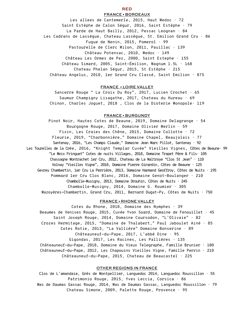#### **RED** FRANCE **•** BORDEAUX

Les allees de Cantemerle, 2015, Haut Medoc  $\cdot$  72 Saint Estèphe de Calon Ségur, 2016, Saint Estèphe · 79 La Parde de Haut Bailly, 2012, Pessac Leognan · 84 Les Cadrans de Lassègue, Chateau Lassègue, St. Emilion Grand Cru · 86 Fugue de Nenin, 2015, Pomerol  $\cdot$  99 Pastourelle de Clerc Milon, 2011, Pauillac · 139 Château Potensac, 2010, Medoc · 149 Château Les Ormes de Pez, 2000, Saint Estephe · 155 Château Simard, 2005, Saint-Émilion, Magnum  $1.5L + 168$ Chateau Phelan Ségur, 2015, St Estèphe · 215 Château Angelus, 2010, 1er Grand Cru Classé, Saint Emilion · 875

#### FRANCE **•** LOIRE VALLEY

Sancerre Rouge " La Croix Du Roy", 2017, Lucien Crochet · 65 Saumur Champigny Lisagathe, 2017, Chateau du Hureau  $\cdot$  69 Chinon, Charles Joguet, 2018 , Clos de la Dioterie Monopole· 119

#### FRANCE **•** BURGUNDY

Pinot Noir, Hautes Cotes de Beaune, 2019, Domaine Delagrange · 54 Bourgogne Rouge, 2017, Domaine Olivier Merlin  $\cdot$  59 Fixin, Les Craies des Chêne, 2015, Domaine Collotte · 72 Fleurie, 2019, "Charbonnière," Domaine Chapel, Beaujolais · 77 Santenay, 2016, "Les Champs Claude," Domaine Jean Marc Pillot, Santenay · 92 Les Tourelles de la Crée, 2016, "Knight Templar Cuvée" Vieilles Vignes, Côtes de Beaune· 99 "Le Meix Fringuet" Cotes de nuits Villages, 2018, Domaine Trapet Père & Fils· 105 Chassagne Montrachet 1er Cru, 2012, Chateau de La Maltroye "Clos St Jean" · 110 Volnay "Vieilles Vigne", 2018, Domaine Pierre Girardin, Côtes de Beaune · 125 Gevrey Chambertin, 1er Cru La Perrière, 2013, Domaine Harmand Geoffroy, Côtes de Nuits  $\cdot$  195 Pommard 1er Cru Clos Blanc, 2016, Domaine Genot-Boulanger · 210 Chambolle-Musigny, 2013, Domaine Drouhin, Côtes de Nuits  $\cdot$  245 Chambolle-Musigny, 2014, Domaine G. Roumier  $\cdot$  305 Mazoyères-Chambertin, Grand Cru, 2011, Bernard Dugat-Py, Côtes de Nuits · 750

#### FRANCE **•** RHONE VALLEY

Cotes du Rhone, 2018, Domaine des Nymphes  $\cdot$  39 Beaumes de Venises Rouge, 2015, Cuvée Yvon Soard, Domaine de Fenouillet · 45 Saint Joseph Rouge, 2014, Domaine Coursodon, "L'Olivaie" · 82 Crozes Hermitage, 2015, "Domaine de Thalabert," Paul Jaboulet Ainé · 85 Cotes Rotie, 2013, "La Vallière" Domaine Bonserine · 89 Châteauneuf-du-Pape, 2017, L'abbé Dine · 95 Gigondas, 2017, Les Racines, Les Pallières · 135 Châteauneuf-du-Pape, 2018, Domaine du Vieux Telegraphe, Famille Brunier · 180 Châteauneuf-du-Pape, 2012, Les Chapouins Vieilles Vigne, Famille Perrin · 210 Châteauneuf-du-Pape, 2015, Chateau de Beaucastel · 225

#### OTHER REGIONS IN FRANCE

Clos de L'amandaie, Grès de Montpellier, Languedoc 2014, Languedoc Roussillon · 55 Patrimonio Rouge, 2015, Yves Leccia, Corsica  $\cdot$  86 Mas de Daumas Gassac Rouge, 2014, Mas de Daumas Gassac, Languedoc Roussillon  $\cdot$  79 Chateau Simone, 2009, Palette Rouge, Provence · 95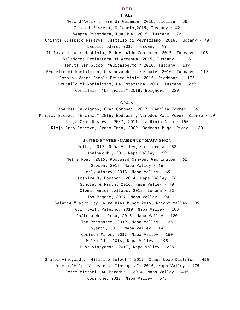#### **RED**

#### ITALY

Nero d'Avola , Tere di Guimara, 2018, Sicilia · 38 Chianti Biskero, Salcheto,2019, Tuscany · 42 Sempre Ricordare, Due Uve, 2015, Tuscany  $\cdot$  72 Chianti Classico Riserva, Castello di Verrazzano, 2016, Tuscany · 79 Barolo, Odero, 2017, Tuscany · 99 Il Favot Langhe Nebbiolo, Poderi Aldo Conterno, 2017, Tuscany · 105 Valadorna Protettore Di Arcanum, 2015, Tuscany  $\cdot$  115 Tenuta San Guido, "Guidalberto," 2018, Tuscany · 139 Brunello di Montalcino, Casanova delle Cerbaie, 2010, Tuscany · 149 Barolo, Vajra Barolo Bricco Viole, 2015, Piedmont · 175 Brunello di Montalcino, Le Potazzine, 2016, Tuscany · 239 Ornellaia, "La Grazia" 2018, Bolgheri · 329

#### **SPAIN**

Cabernet Sauvignon, Gran Coronas, 2017, Familia Torres · 56 Mencia, Bierzo, "Encinas" 2016, Bodegas y Viñedos Raúl Pérez, Bierzo · 59 Rioja Gran Reserva "904", 2011, La Rioja Alta · 155 Rioja Gran Reserva, Prado Enea, 2009, Bodegas Muga, Rioja · 160

#### UNITED STATES **•** CABERNET SAUVIGNON

Delta, 2019, Napa Valley, California  $\cdot$  52 Anatomy №1, 2016,Napa Valley · 59 Nelms Road, 2015, Woodward Canyon, Washington  $\cdot$  61 Oberon, 2018, Napa Valley  $\cdot$  66 Laely Winery, 2018, Napa Valley  $\cdot$  69 Inspire By Boyanci, 2014, Napa Valley· 76 Scholar & Mason, 2016, Napa Valley · 79 Olema, Amici Cellars, 2018, Sonoma · 83 Clos Pegase, 2017, Napa Valley  $\cdot$  94 Galerie "Latro" by Laura Diaz Munoz,2016, Knight Valley · 99 Orin Swift Palermo, 2019, Napa Valley · 108 Château Montelena, 2018, Napa Valley · 120 The Prisonner, 2019, Napa Valley  $\cdot$  135 Boyanci, 2015, Napa Valley  $\cdot$  145 Corison Wines, 2017, Napa Valley  $\cdot$  150 Melka CJ, 2016, Napa Valley  $\cdot$  195 Dunn Vineyards, 2017, Napa Valley  $\cdot$  225

Shafer Vineyards, "Hillside Select," 2017, Stags Leap District . 415 Joseph Phelps Vineyards, "Insignia", 2015, Napa Valley . 475 Peter Michael "Au Paradis," 2014, Napa Valley . 495 Opus One, 2017, Napa Valley . 575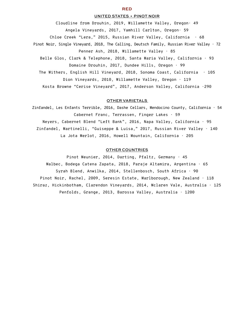#### UNITED STATES **•** PINOT NOIR

Cloudline from Drouhin, 2019, Willamette Valley, Oregon· 49 Angela Vineyards, 2017, Yamhill Carlton, Oregon· 59 Chloe Creek "Lera," 2015, Russian River Valley, California · 68 Pinot Noir, Single Vineyard, 2018, The Calling, Deutsch Family, Russian River Valley  $\cdot$  72 Penner Ash, 2018, Willamette Valley · 85 Belle Glos, Clark & Telephone, 2018, Santa Maria Valley, California · 93 Domaine Drouhin, 2017, Dundee Hills, Oregon · 99 The Withers, English Hill Vineyard, 2018, Sonoma Coast, California · 105 Dion Vineyards, 2010, Willamette Valley, Oregon · 119

Kosta Browne "Cerise Vineyard", 2017, Anderson Valley, California ·290

#### OTHER VARIETALS

Zinfandel, Les Enfants Terrible, 2016, Dashe Cellars, Mendocino County, California · 54 Cabernet Franc, Terrassen, Finger Lakes · 59 Neyers, Cabernet Blend "Left Bank", 2016, Napa Valley, California · 95 Zinfandel, Martinelli, "Guiseppe & Luisa," 2017, Russian River Valley · 140 La Jota Merlot, 2016, Howell Mountain, California · 205

#### OTHER COUNTRIES

Pinot Meunier, 2014, Darting, Pfaltz, Germany · 45 Malbec, Bodega Catena Zapata, 2018, Paraje Altamira, Argentina · 65 Syrah Blend, Anwilka, 2014, Stellenbosch, South Africa · 90 Pinot Noir, Rachel, 2009, Seresin Estate, Marlborough, New Zealand · 118 Shiraz, Hickinbotham, Clarendon Vineyards, 2014, Mclaren Vale, Australia · 125 Penfolds, Grange, 2013, Barossa Valley, Australia · 1200

#### **RED**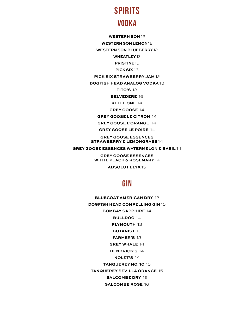# **SPIRITS Vodka**

**WESTERN SON** 12

**WESTERN SON LEMON** 12

**WESTERN SON BLUEBERRY** 12

**WHEATLEY**12

**PRISTINE** 15 **PICK SIX** 13

**PICK SIX STRAWBERRY JAM** 12

**DOGFISH HEAD ANALOG VODKA** 13

**TITO'S** 13

**BELVEDERE** 16

**KETEL ONE** 14

**GREY GOOSE** 14

**GREY GOOSE LE CITRON** 14

**GREY GOOSE L'ORANGE** 14

**GREY GOOSE LE POIRE** 14

**GREY GOOSE ESSENCES STRAWBERRY & LEMONGRASS** 14

**GREY GOOSE ESSENCES WATERMELON & BASIL** 14

**GREY GOOSE ESSENCES WHITE PEACH & ROSEMARY** 14

**ABSOLUT ELYX** 15

### **Gin**

**BLUECOAT AMERICAN DRY** 12 **DOGFISH HEAD COMPELLING GIN** 13 **BOMBAY SAPPHIRE** 14 **BULLDOG** 14 **PLYMOUTH** 13 **BOTANIST** 16 **FARMER'S** 13 **GREY WHALE** 14 **HENDRICK'S** 14 **NOLET'S** 14 **TANQUEREY NO. 10** 15 **TANQUEREY SEVILLA ORANGE** 15 **SALCOMBE DRY** 16 **SALCOMBE ROSE** 16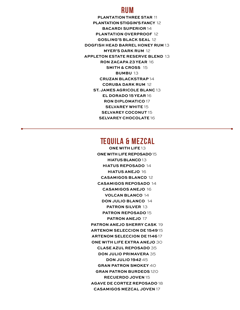### **Rum**

**PLANTATION THREE STAR** 11 **PLANTATION STIGGIN'S FANCY** 12 **BACARDI SUPERIOR** 14 **PLANTATION OVERPROOF** 12 **GOSLING'S BLACK SEAL** 12 **DOGFISH HEAD BARREL HONEY RUM** 13 **MYER'S DARK RUM** 12 **APPLETON ESTATE RESERVE BLEND** 13 **RON ZACAPA 23 YEAR** 16 **SMITH & CROSS** 15 **BUMBU** 13 **CRUZAN BLACKSTRAP** 14 **CORUBA DARK RUM** 12 **ST. JAMES AGRICOLE BLANC** 13 **EL DORADO 15 YEAR** 16 **RON DIPLOMATICO** 17 **SELVAREY WHITE** 15 **SELVAREY COCONUT** 15 **SELVAREY CHOCOLATE** 16

### **Tequila & Mezcal**

**ONE WITH LIFE** 13 **ONEWITH LIFE REPOSADO** 15 **HIATUS BLANCO** 13 **HIATUS REPOSADO** 14 **HIATUS ANEJO** 16 **CASAMIGOS BLANCO** 12 **CASAMIGOS REPOSADO** 14 **CASAMIGOS ANEJO** 16 **VOLCAN BLANCO** 14 **DON JULIO BLANCO** 14 **PATRON SILVER** 13 **PATRON REPOSADO** 15 **PATRON ANEJO** 17 **PATRON ANEJO SHERRY CASK** 19 **ARTENOM SELECCION DE 1549** 15 **ARTENOM SELECCION DE 1146** 17 **ONE WITH LIFE EXTRA ANEJO** 30 **CLASE AZUL REPOSADO** 35 **DON JULIO PRIMAVERA** 35 **DON JULIO 1942** 45 **GRAN PATRON SMOKEY** 40 **GRAN PATRON BURDEOS** 120 **RECUERDO JOVEN** 15 **AGAVE DE CORTEZ REPOSADO** 18 **CASAMIGOS MEZCAL JOVEN** 17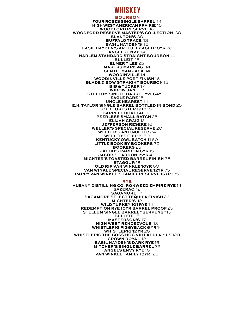### **Whiskey**

**BOURBON FOUR ROSES SINGLE BARREL** 14 **HIGH WEST AMERICAN PRAIRIE** 15 **WOODFORD RESERVE** 16 **WOODFORD RESERVE MASTER'S COLLECTION** 30 **BLANTON'S** 30 **BUFFALO TRACE** 13 **BASIL HAYDEN'S** 16 **BASIL HAYDEN'S ARTFULLY AGED 10YR** 20 **ANGELS ENVY** 14 **HARLEM STANDARD STRAIGHT BOURBON** 14 **BULLEIT** 15 **ELMER T LEE** 25 **MAKERS MARK 46** 14 **GENTLEMAN JACK** 14 **WOODINVILLE** 14 **WOODINVILLE PORT FINISH** 16 **BLADE & BOW STRAIGHT BOURBON** 15 **BIB & TUCKER** 17 **WIDOW JANE** 17 **STELLUM SINGLE BARREL "VEGA"** 15 **EAGLE RARE** 15 **UNCLE NEAREST** 14 **E.H. TAYLOR SINGLE BARREL BOTTLED IN BOND** 25 **OLD FORESTER 1910** 15 **BARRELL DOVETAIL** 16 **PEERLESS SMALL BATCH** 25 **ELIJAH CRAIG** 12 **JEFFERSON RESERE** 16 **WELLER'S SPECIAL RESERVE** 20 **WELLER'S ANTIQUE 107** 24 **WELLER'S C.Y.P.B.** 50 **KENTUCKY OWL BATCH 11** 60 **LITTLE BOOK BY BOOKERS** 20 **BOOKERS** 25 **JACOB'S PARDON 8YR** 15 **JACOB'S PARDON 15YR** 40 **MICHTER'S TOASTED BARREL FINISH** 28 **STAGG JR** 18 **OLD RIP VAN WINKLE 10YR** 60 **VAN WINKLE SPECIAL RESERVE 12YR** 75 **PAPPY VAN WINKLE'S FAMILY RESERVE 15YR** 125

#### **RYE**

**ALBANY DISTILLING CO IRONWEED EMPIRE RYE** 14 **SAZERAC** 12 **SAGAMORE** 14 **SAGAMORE SELECT TEQUILA FINISH** 22 **MICHTER'S** 13 **WILD TURKEY 101 RYE** 14 **REDEMPTION RYE 10YR BARREL PROOF** 25 **STELLUM SINGLE BARREL "SERPENS"** 15 **BULLEIT** 15 **MASTERSON'S** 17 **HIGH WEST RENDEZVOUS** 18 **WHISTLEPIG PIGGYBACK 6 YR** 14 **WHISTLEPIG 12YR** 26 **WHISTLEPIG THE BOSS HOG VIII LAPULAPU'S** 120 **CROWN ROYAL** 13 **BASIL HAYDEN'S DARK RYE** 16 **MITCHER'S SINGLE BARREL** 22 **ANGELS ENVY RYE** 16 **VAN WINKLE FAMILY 13YR** 120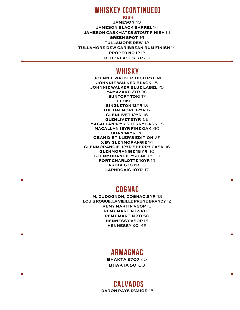### **Whiskey (Continued)**

**IRISH JAMESON** 13 **JAMESON BLACK BARREL** 14 **JAMESON CASKMATES STOUT FINISH** 14 **GREEN SPOT** 16 **TULLAMORE DEW** 13 **TULLAMORE DEW CARIBBEAN RUM FINISH** 14 **PROPER NO 12** 12 **REDBREAST 12 YR** 20

### **Whisky**

**JOHNNIE WALKER HIGH RYE** 14 **JOHNNIE WALKER BLACK** 15 **JOHNNIE WALKER BLUE LABEL** 75 **YAMAZAKI 12YR** 30 **SUNTORY TOKI** 17 **HIBIKI** 35 **SINGLETON 12YR** 13 **THE DALMORE 12YR** 17 **GLENLIVET 12YR** 16 **GLENLIVET 21YR** 68 **MACALLAN 12YR SHERRY CASK** 18 **MACALLAN 18YR FINE OAK** 60 **OBAN 14 YR** 20 **OBAN DISTILLER'S EDITION** 25 **X BY GLENMORANGIE** 14 **GLENMORANGIE 12YR SHERRY CASK** 16 **GLENMORANGIE 18 YR** 40 **GLENMORANGIE "SIGNET"** 50 **PORT CHARLOTTE 10YR** 15 **ARDBEG 10 YR** 16 **LAPHROAIG 10YR** 17

### **Cognac**

**M. DUDOGNON, COGNAC 5 YR** 13 **LOUIS ROQUE, LAVIEILLE PRUNE BRANDY** 12 **REMY MARTIN VSOP** 16 **REMY MARTIN 1738** 15 **REMY MARTIN XO** 50 **HENNESSY VSOP** 15 **HENNESSY XO** 46

### **Armagnac**

**BHAKTA 2707** 20 **BHAKTA 50** 60

### **Calvados**

**DARON PAYS D'AUGE** 15